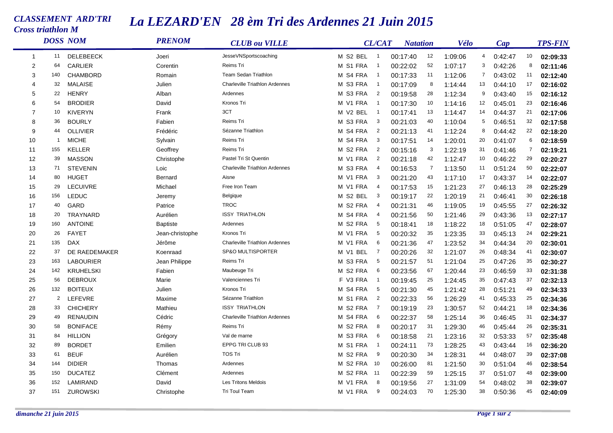## *CLASSEMENT ARD'TRI Cross triathlon M*

 $\sim$ 

## *La LEZARD'EN 28 èm Tri des Ardennes 21 Juin 2015*

|                | <b>DOSS NOM</b> |                  | <b>PRENOM</b>   | <b>CLUB</b> ou VILLE                  |                         | <b>CL/CAT</b>              | <b>Natation</b> |                | Vélo    |                | Cap     |    | <b>TPS-FIN</b> |
|----------------|-----------------|------------------|-----------------|---------------------------------------|-------------------------|----------------------------|-----------------|----------------|---------|----------------|---------|----|----------------|
| -1             | 11              | <b>DELEBEECK</b> | Joeri           | JesseVNSportscoaching                 | M S2 BEL                | $\overline{\phantom{0}}$ 1 | 00:17:40        | 12             | 1:09:06 | 4              | 0:42:47 | 10 | 02:09:33       |
| $\overline{2}$ | 64              | CARLIER          | Corentin        | Reims Tri                             | M S1 FRA                | $\overline{\phantom{0}}$   | 00:22:02        | 52             | 1:07:17 | 3              | 0:42:26 | 8  | 02:11:46       |
| 3              | 140             | CHAMBORD         | Romain          | Team Sedan Triathlon                  | S4 FRA<br>м             | $\overline{1}$             | 00:17:33        | 11             | 1:12:06 | $\overline{7}$ | 0:43:02 | 11 | 02:12:40       |
| 4              | 32              | <b>MALAISE</b>   | Julien          | <b>Charleville Triathlon Ardennes</b> | S3 FRA<br>м             | $\overline{\phantom{0}}$ 1 | 00:17:09        | 8              | 1:14:44 | 13             | 0:44:10 | 17 | 02:16:02       |
| 5              | 22              | <b>HENRY</b>     | Alban           | Ardennes                              | S3 FRA<br>м             | $\overline{2}$             | 00:19:58        | 28             | 1:12:34 | 9              | 0:43:40 | 15 | 02:16:12       |
| 6              | 54              | <b>BRODIER</b>   | David           | Kronos Tri                            | V1 FRA<br>м             | $\overline{1}$             | 00:17:30        | 10             | 1:14:16 | 12             | 0:45:01 | 23 | 02:16:46       |
| $\overline{7}$ | 10              | <b>KIVERYN</b>   | Frank           | 3CT                                   | V <sub>2</sub> BEL<br>М | $\overline{\phantom{0}}$   | 00:17:41        | 13             | 1:14:47 | 14             | 0:44:37 | 21 | 02:17:06       |
| 8              | 36              | <b>BOURLY</b>    | Fabien          | Reims Tri                             | S3 FRA<br>м             | 3                          | 00:21:03        | 40             | 1:10:04 | 5              | 0:46:51 | 32 | 02:17:58       |
| 9              | 44              | <b>OLLIVIER</b>  | Frédéric        | Sézanne Triathlon                     | S4 FRA<br>м             | $\overline{2}$             | 00:21:13        | 41             | 1:12:24 | 8              | 0:44:42 | 22 | 02:18:20       |
| 10             | $\overline{1}$  | <b>MICHE</b>     | Sylvain         | Reims Tri                             | M S4 FRA                | 3                          | 00:17:51        | 14             | 1:20:01 | 20             | 0:41:07 | 6  | 02:18:59       |
| 11             | 155             | KELLER           | Geoffrey        | Reims Tri                             | M S2 FRA                | $\overline{2}$             | 00:15:16        | 3              | 1:22:19 | 31             | 0:41:46 | 7  | 02:19:21       |
| 12             | 39              | <b>MASSON</b>    | Christophe      | Pastel Tri St Quentin                 | M V1 FRA                | $\overline{c}$             | 00:21:18        | 42             | 1:12:47 | 10             | 0:46:22 | 29 | 02:20:27       |
| 13             | 71              | <b>STEVENIN</b>  | Loic            | <b>Charleville Triathlon Ardennes</b> | M S3 FRA                | $\overline{4}$             | 00:16:53        | $\overline{7}$ | 1:13:50 | 11             | 0:51:24 | 50 | 02:22:07       |
| 14             | 80              | <b>HUGET</b>     | <b>Bernard</b>  | Aisne                                 | M V1 FRA                | - 3                        | 00:21:20        | 43             | 1:17:10 | 17             | 0:43:37 | 14 | 02:22:07       |
| 15             | 29              | <b>LECUIVRE</b>  | Michael         | Free Iron Team                        | M V1 FRA                | $\overline{a}$             | 00:17:53        | 15             | 1:21:23 | 27             | 0:46:13 | 28 | 02:25:29       |
| 16             | 156             | <b>LEDUC</b>     | Jeremy          | Belgique                              | M S2 BEL                | - 3                        | 00:19:17        | 22             | 1:20:19 | 21             | 0:46:41 | 30 | 02:26:18       |
| 17             | 40              | GARD             | Patrice         | <b>TROC</b>                           | M S2 FRA                | $\overline{a}$             | 00:21:31        | 46             | 1:19:05 | 19             | 0:45:55 | 27 | 02:26:32       |
| 18             | 20              | <b>TRAYNARD</b>  | Aurélien        | <b>ISSY TRIATHLON</b>                 | S4 FRA<br>м             | $\overline{4}$             | 00:21:56        | 50             | 1:21:46 | 29             | 0:43:36 | 13 | 02:27:17       |
| 19             | 160             | <b>ANTOINE</b>   | <b>Baptiste</b> | Ardennes                              | S <sub>2</sub> FRA<br>м | - 5                        | 00:18:41        | 18             | 1:18:22 | 18             | 0:51:05 | 47 | 02:28:07       |
| 20             | 26              | <b>FAYET</b>     | Jean-christophe | Kronos Tri                            | V1 FRA<br>м             | - 5                        | 00:20:32        | 35             | 1:23:35 | 33             | 0:45:13 | 24 | 02:29:21       |
| 21             | 135             | <b>DAX</b>       | Jérôme          | <b>Charleville Triathlon Ardennes</b> | V1 FRA<br>м             | 6                          | 00:21:36        | 47             | 1:23:52 | 34             | 0:44:34 | 20 | 02:30:01       |
| 22             | 37              | DE RAEDEMAKER    | Koenraad        | SP&O MULTISPORTER                     | <b>BEL</b><br>м<br>V1   | $\overline{7}$             | 00:20:26        | 32             | 1:21:07 | 26             | 0:48:34 | 41 | 02:30:07       |
| 23             | 163             | <b>LABOURIER</b> | Jean Philippe   | Reims Tri                             | M S3 FRA                | 5                          | 00:21:57        | 51             | 1:21:04 | 25             | 0:47:26 | 35 | 02:30:27       |
| 24             | 142             | <b>KRUHELSKI</b> | Fabien          | Maubeuge Tri                          | M S2 FRA                | 6                          | 00:23:56        | 67             | 1:20:44 | 23             | 0:46:59 | 33 | 02:31:38       |
| 25             | 56              | <b>DEBROUX</b>   | Marie           | Valenciennes Tri                      | F V3 FRA                | $\overline{\phantom{0}}$ 1 | 00:19:45        | 25             | 1:24:45 | 35             | 0:47:43 | 37 | 02:32:13       |
| 26             | 132             | <b>BOITEUX</b>   | Julien          | Kronos Tri                            | M S4 FRA                | - 5                        | 00:21:30        | 45             | 1:21:42 | 28             | 0:51:21 | 49 | 02:34:33       |
| 27             | $\overline{2}$  | LEFEVRE          | Maxime          | Sézanne Triathlon                     | M S1 FRA                | $\overline{2}$             | 00:22:33        | 56             | 1:26:29 | 41             | 0:45:33 | 25 | 02:34:36       |
| 28             | 33              | <b>CHICHERY</b>  | Mathieu         | <b>ISSY TRIATHLON</b>                 | M S2 FRA                | $\overline{7}$             | 00:19:19        | 23             | 1:30:57 | 52             | 0:44:21 | 18 | 02:34:36       |
| 29             | 49              | <b>RENAUDIN</b>  | Cédric          | <b>Charleville Triathlon Ardennes</b> | S4 FRA<br>м             | 6                          | 00:22:37        | 58             | 1:25:14 | 36             | 0:46:45 | 31 | 02:34:37       |
| 30             | 58              | <b>BONIFACE</b>  | Rémy            | Reims Tri                             | S <sub>2</sub> FRA<br>м | 8                          | 00:20:17        | 31             | 1:29:30 | 46             | 0:45:44 | 26 | 02:35:31       |
| 31             | 84              | <b>HILLION</b>   | Grégory         | Val de marne                          | S3 FRA<br>м             | 6                          | 00:18:58        | 21             | 1:23:16 | 32             | 0:53:33 | 57 | 02:35:48       |
| 32             | 89              | <b>BORDET</b>    | Emilien         | EPPG TRI CLUB 93                      | S1 FRA<br>м             | $\overline{1}$             | 00:24:11        | 73             | 1:28:25 | 43             | 0:43:44 | 16 | 02:36:20       |
| 33             | 61              | <b>BEUF</b>      | Aurélien        | <b>TOS Tri</b>                        | M S2 FRA                | 9                          | 00:20:30        | 34             | 1:28:31 | 44             | 0:48:07 | 39 | 02:37:08       |
| 34             | 144             | <b>DIDIER</b>    | Thomas          | Ardennes                              | S <sub>2</sub> FRA<br>м | 10                         | 00:26:00        | 81             | 1:21:50 | 30             | 0:51:04 | 46 | 02:38:54       |
| 35             | 150             | <b>DUCATEZ</b>   | Clément         | Ardennes                              | M S2 FRA                | 11                         | 00:22:39        | 59             | 1:25:15 | 37             | 0:51:07 | 48 | 02:39:00       |
| 36             | 152             | LAMIRAND         | David           | <b>Les Tritons Meldois</b>            | M V1 FRA                | 8                          | 00:19:56        | 27             | 1:31:09 | 54             | 0:48:02 | 38 | 02:39:07       |
| 37             | 151             | <b>ZUROWSKI</b>  | Christophe      | Tri Toul Team                         | M V1 FRA                | 9                          | 00:24:03        | 70             | 1:25:30 | 38             | 0:50:36 | 45 | 02:40:09       |
|                |                 |                  |                 |                                       |                         |                            |                 |                |         |                |         |    |                |